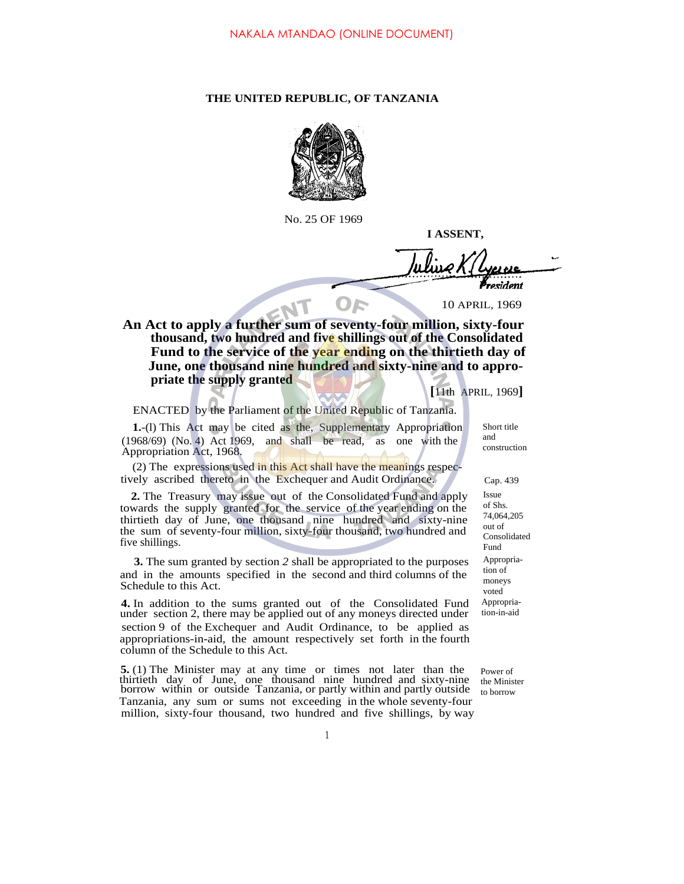## **THE UNITED REPUBLIC, OF TANZANIA**



No. 25 OF 1969

**I ASSENT,**

*resident* 

10 APRIL, 1969

**An Act to apply a further sum of seventy-four million, sixty-four thousand, two hundred and five shillings out of the Consolidated Fund to the service of the year ending on the thirtieth day of June, one thousand nine hundred and sixty-nine and to appropriate the supply granted**

**[**11th APRIL, 1969**]**

## ENACTED by the Parliament of the United Republic of Tanzania.

**1.**-(l) This Act may be cited as the, Supplementary Appropriation (1968/69) (No. 4) Act 1969, and shall be read, as one with the Appropriation Act, 1968.

(2) The expressions used in this Act shall have the meanings respectively ascribed thereto in the Exchequer and Audit Ordinance. Cap. 439

**2.** The Treasury may issue out of the Consolidated Fund and apply towards the supply granted for the service of the year ending on the thirtieth day of June, one thousand nine hundred and sixty-nine the sum of seventy-four million, sixty-four thousand, two hundred and five shillings.

**3.** The sum granted by section *2* shall be appropriated to the purposes and in the amounts specified in the second and third columns of the Schedule to this Act.

**4.** In addition to the sums granted out of the Consolidated Fund under section 2, there may be applied out of any moneys directed under section 9 of the Exchequer and Audit Ordinance, to be applied as appropriations-in-aid, the amount respectively set forth in the fourth column of the Schedule to this Act.

**5.** (1) The Minister may at any time or times not later than the thirtieth day of June, one thousand nine hundred and sixty-nine borrow within or outside Tanzania, or partly within and partly outside Tanzania, any sum or sums not exceeding in the whole seventy-four million, sixty-four thousand, two hundred and five shillings, by way

Short title and construction

Issue of Shs. 74,064,205 out of Consolidated Fund Appropriation of moneys voted Appropriation-in-aid

Power of the Minister to borrow